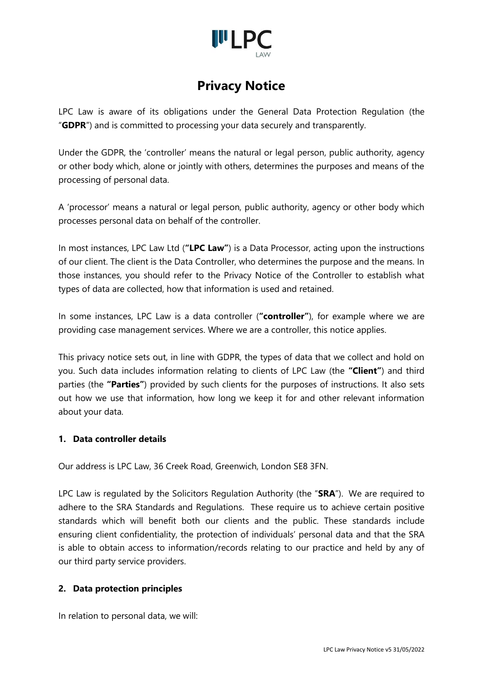

LPC Law is aware of its obligations under the General Data Protection Regulation (the "**GDPR**") and is committed to processing your data securely and transparently.

Under the GDPR, the 'controller' means the natural or legal person, public authority, agency or other body which, alone or jointly with others, determines the purposes and means of the processing of personal data.

A 'processor' means a natural or legal person, public authority, agency or other body which processes personal data on behalf of the controller.

In most instances, LPC Law Ltd (**"LPC Law"**) is a Data Processor, acting upon the instructions of our client. The client is the Data Controller, who determines the purpose and the means. In those instances, you should refer to the Privacy Notice of the Controller to establish what types of data are collected, how that information is used and retained.

In some instances, LPC Law is a data controller (**"controller"**), for example where we are providing case management services. Where we are a controller, this notice applies.

This privacy notice sets out, in line with GDPR, the types of data that we collect and hold on you. Such data includes information relating to clients of LPC Law (the **"Client"**) and third parties (the **"Parties"**) provided by such clients for the purposes of instructions. It also sets out how we use that information, how long we keep it for and other relevant information about your data.

### **1. Data controller details**

Our address is LPC Law, 36 Creek Road, Greenwich, London SE8 3FN.

LPC Law is regulated by the Solicitors Regulation Authority (the "**SRA**"). We are required to adhere to the SRA Standards and Regulations. These require us to achieve certain positive standards which will benefit both our clients and the public. These standards include ensuring client confidentiality, the protection of individuals' personal data and that the SRA is able to obtain access to information/records relating to our practice and held by any of our third party service providers.

### **2. Data protection principles**

In relation to personal data, we will: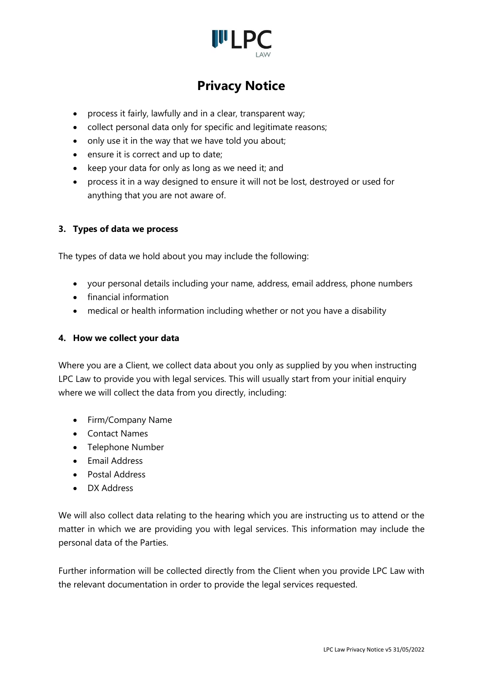

- process it fairly, lawfully and in a clear, transparent way;
- collect personal data only for specific and legitimate reasons;
- only use it in the way that we have told you about;
- ensure it is correct and up to date;
- keep your data for only as long as we need it; and
- process it in a way designed to ensure it will not be lost, destroyed or used for anything that you are not aware of.

### **3. Types of data we process**

The types of data we hold about you may include the following:

- your personal details including your name, address, email address, phone numbers
- financial information
- medical or health information including whether or not you have a disability

#### **4. How we collect your data**

Where you are a Client, we collect data about you only as supplied by you when instructing LPC Law to provide you with legal services. This will usually start from your initial enquiry where we will collect the data from you directly, including:

- Firm/Company Name
- Contact Names
- Telephone Number
- Email Address
- Postal Address
- DX Address

We will also collect data relating to the hearing which you are instructing us to attend or the matter in which we are providing you with legal services. This information may include the personal data of the Parties.

Further information will be collected directly from the Client when you provide LPC Law with the relevant documentation in order to provide the legal services requested.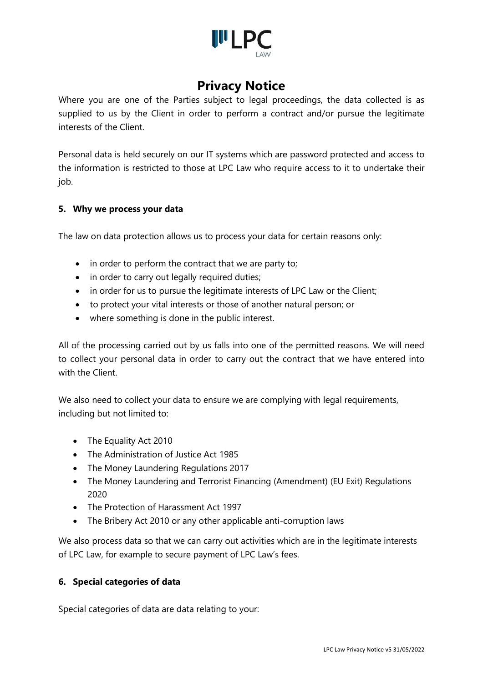

Where you are one of the Parties subject to legal proceedings, the data collected is as supplied to us by the Client in order to perform a contract and/or pursue the legitimate interests of the Client.

Personal data is held securely on our IT systems which are password protected and access to the information is restricted to those at LPC Law who require access to it to undertake their job.

### **5. Why we process your data**

The law on data protection allows us to process your data for certain reasons only:

- in order to perform the contract that we are party to;
- in order to carry out legally required duties;
- in order for us to pursue the legitimate interests of LPC Law or the Client;
- to protect your vital interests or those of another natural person; or
- where something is done in the public interest.

All of the processing carried out by us falls into one of the permitted reasons. We will need to collect your personal data in order to carry out the contract that we have entered into with the Client.

We also need to collect your data to ensure we are complying with legal requirements, including but not limited to:

- The Equality Act 2010
- The Administration of Justice Act 1985
- The Money Laundering Regulations 2017
- The Money Laundering and Terrorist Financing (Amendment) (EU Exit) Regulations 2020
- The Protection of Harassment Act 1997
- The Bribery Act 2010 or any other applicable anti-corruption laws

We also process data so that we can carry out activities which are in the legitimate interests of LPC Law, for example to secure payment of LPC Law's fees.

### **6. Special categories of data**

Special categories of data are data relating to your: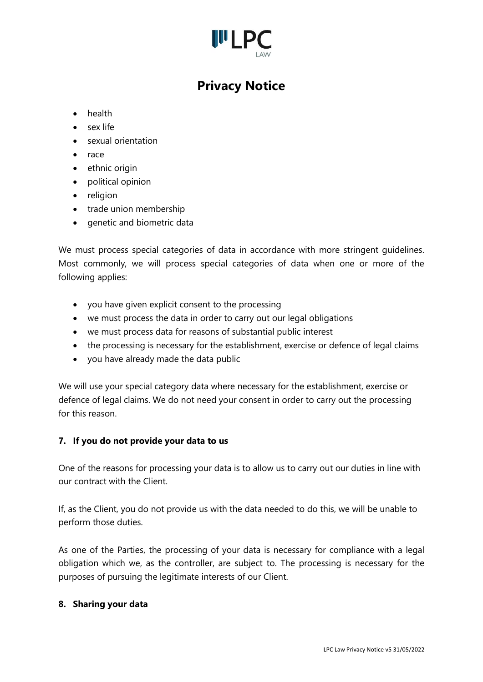

- health
- sex life
- sexual orientation
- race
- ethnic origin
- political opinion
- religion
- trade union membership
- genetic and biometric data

We must process special categories of data in accordance with more stringent guidelines. Most commonly, we will process special categories of data when one or more of the following applies:

- you have given explicit consent to the processing
- we must process the data in order to carry out our legal obligations
- we must process data for reasons of substantial public interest
- the processing is necessary for the establishment, exercise or defence of legal claims
- you have already made the data public

We will use your special category data where necessary for the establishment, exercise or defence of legal claims. We do not need your consent in order to carry out the processing for this reason.

### **7. If you do not provide your data to us**

One of the reasons for processing your data is to allow us to carry out our duties in line with our contract with the Client.

If, as the Client, you do not provide us with the data needed to do this, we will be unable to perform those duties.

As one of the Parties, the processing of your data is necessary for compliance with a legal obligation which we, as the controller, are subject to. The processing is necessary for the purposes of pursuing the legitimate interests of our Client.

#### **8. Sharing your data**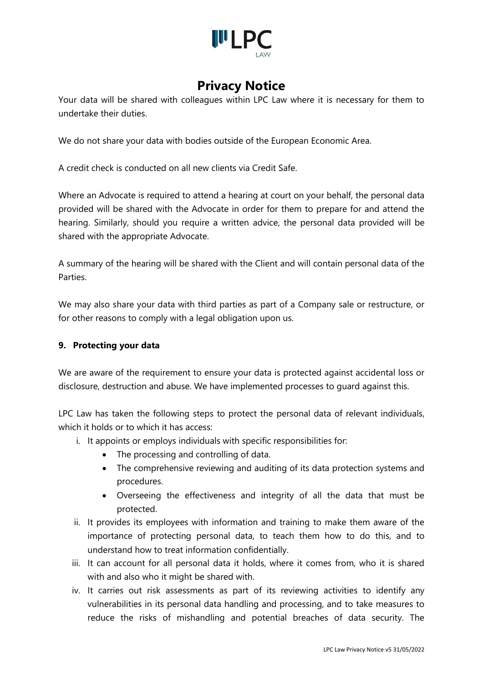

Your data will be shared with colleagues within LPC Law where it is necessary for them to undertake their duties.

We do not share your data with bodies outside of the European Economic Area.

A credit check is conducted on all new clients via Credit Safe.

Where an Advocate is required to attend a hearing at court on your behalf, the personal data provided will be shared with the Advocate in order for them to prepare for and attend the hearing. Similarly, should you require a written advice, the personal data provided will be shared with the appropriate Advocate.

A summary of the hearing will be shared with the Client and will contain personal data of the Parties.

We may also share your data with third parties as part of a Company sale or restructure, or for other reasons to comply with a legal obligation upon us.

### **9. Protecting your data**

We are aware of the requirement to ensure your data is protected against accidental loss or disclosure, destruction and abuse. We have implemented processes to guard against this.

LPC Law has taken the following steps to protect the personal data of relevant individuals, which it holds or to which it has access:

- i. It appoints or employs individuals with specific responsibilities for:
	- The processing and controlling of data.
	- The comprehensive reviewing and auditing of its data protection systems and procedures.
	- Overseeing the effectiveness and integrity of all the data that must be protected.
- ii. It provides its employees with information and training to make them aware of the importance of protecting personal data, to teach them how to do this, and to understand how to treat information confidentially.
- iii. It can account for all personal data it holds, where it comes from, who it is shared with and also who it might be shared with.
- iv. It carries out risk assessments as part of its reviewing activities to identify any vulnerabilities in its personal data handling and processing, and to take measures to reduce the risks of mishandling and potential breaches of data security. The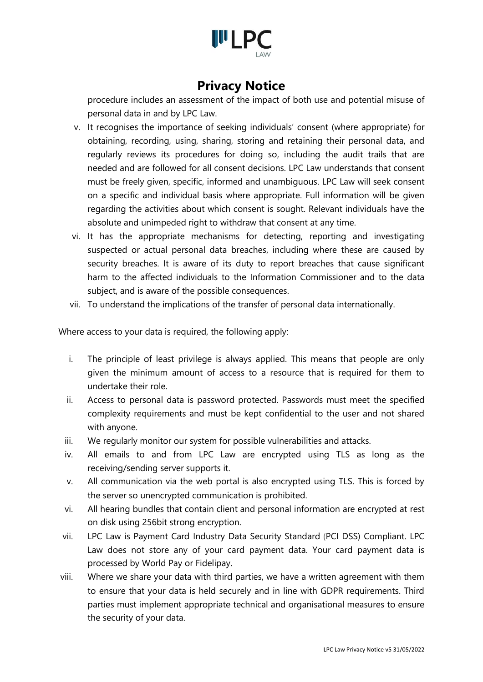

procedure includes an assessment of the impact of both use and potential misuse of personal data in and by LPC Law.

- v. It recognises the importance of seeking individuals' consent (where appropriate) for obtaining, recording, using, sharing, storing and retaining their personal data, and regularly reviews its procedures for doing so, including the audit trails that are needed and are followed for all consent decisions. LPC Law understands that consent must be freely given, specific, informed and unambiguous. LPC Law will seek consent on a specific and individual basis where appropriate. Full information will be given regarding the activities about which consent is sought. Relevant individuals have the absolute and unimpeded right to withdraw that consent at any time.
- vi. It has the appropriate mechanisms for detecting, reporting and investigating suspected or actual personal data breaches, including where these are caused by security breaches. It is aware of its duty to report breaches that cause significant harm to the affected individuals to the Information Commissioner and to the data subject, and is aware of the possible consequences.
- vii. To understand the implications of the transfer of personal data internationally.

Where access to your data is required, the following apply:

- i. The principle of least privilege is always applied. This means that people are only given the minimum amount of access to a resource that is required for them to undertake their role.
- ii. Access to personal data is password protected. Passwords must meet the specified complexity requirements and must be kept confidential to the user and not shared with anyone.
- iii. We regularly monitor our system for possible vulnerabilities and attacks.
- iv. All emails to and from LPC Law are encrypted using TLS as long as the receiving/sending server supports it.
- v. All communication via the web portal is also encrypted using TLS. This is forced by the server so unencrypted communication is prohibited.
- vi. All hearing bundles that contain client and personal information are encrypted at rest on disk using 256bit strong encryption.
- vii. LPC Law is Payment Card Industry Data Security Standard (PCI DSS) Compliant. LPC Law does not store any of your card payment data. Your card payment data is processed by World Pay or Fidelipay.
- viii. Where we share your data with third parties, we have a written agreement with them to ensure that your data is held securely and in line with GDPR requirements. Third parties must implement appropriate technical and organisational measures to ensure the security of your data.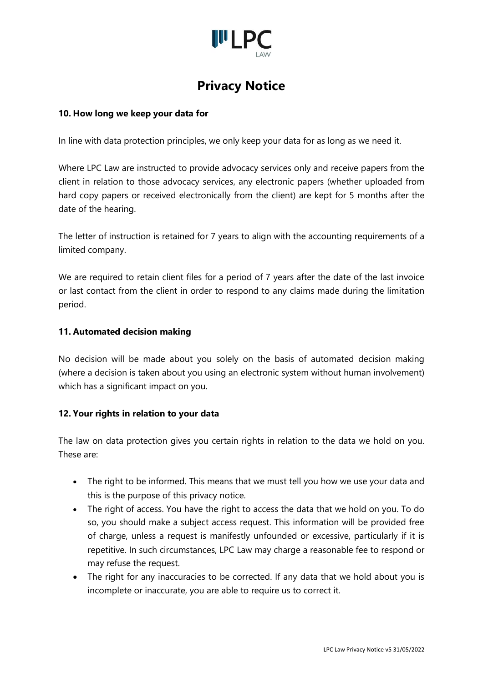

### **10. How long we keep your data for**

In line with data protection principles, we only keep your data for as long as we need it.

Where LPC Law are instructed to provide advocacy services only and receive papers from the client in relation to those advocacy services, any electronic papers (whether uploaded from hard copy papers or received electronically from the client) are kept for 5 months after the date of the hearing.

The letter of instruction is retained for 7 years to align with the accounting requirements of a limited company.

We are required to retain client files for a period of 7 years after the date of the last invoice or last contact from the client in order to respond to any claims made during the limitation period.

#### **11. Automated decision making**

No decision will be made about you solely on the basis of automated decision making (where a decision is taken about you using an electronic system without human involvement) which has a significant impact on you.

### **12. Your rights in relation to your data**

The law on data protection gives you certain rights in relation to the data we hold on you. These are:

- The right to be informed. This means that we must tell you how we use your data and this is the purpose of this privacy notice.
- The right of access. You have the right to access the data that we hold on you. To do so, you should make a subject access request. This information will be provided free of charge, unless a request is manifestly unfounded or excessive, particularly if it is repetitive. In such circumstances, LPC Law may charge a reasonable fee to respond or may refuse the request.
- The right for any inaccuracies to be corrected. If any data that we hold about you is incomplete or inaccurate, you are able to require us to correct it.